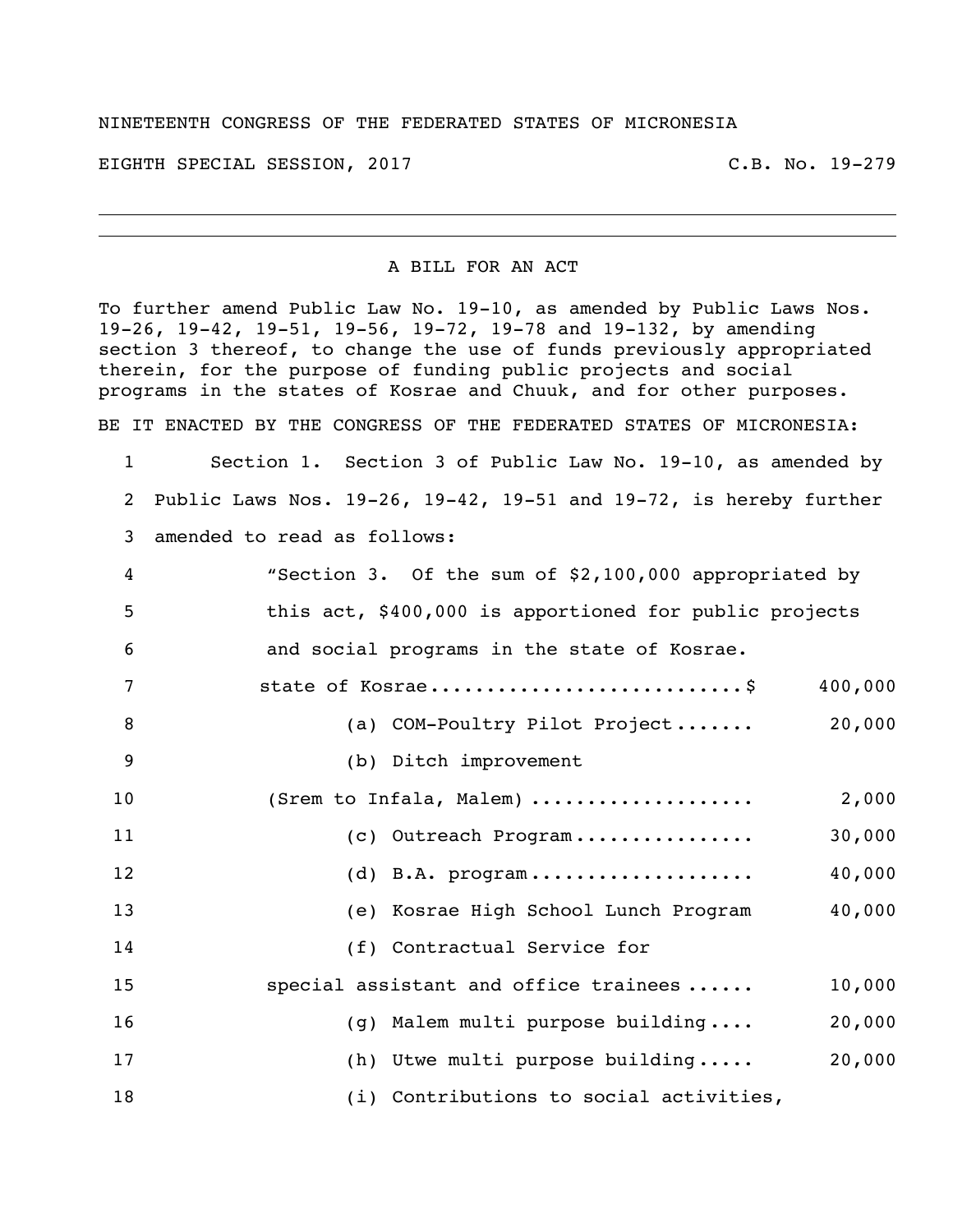## NINETEENTH CONGRESS OF THE FEDERATED STATES OF MICRONESIA

EIGHTH SPECIAL SESSION, 2017 C.B. No. 19-279

## A BILL FOR AN ACT

To further amend Public Law No. 19-10, as amended by Public Laws Nos. 19-26, 19-42, 19-51, 19-56, 19-72, 19-78 and 19-132, by amending section 3 thereof, to change the use of funds previously appropriated therein, for the purpose of funding public projects and social programs in the states of Kosrae and Chuuk, and for other purposes. BE IT ENACTED BY THE CONGRESS OF THE FEDERATED STATES OF MICRONESIA:

 Section 1. Section 3 of Public Law No. 19-10, as amended by Public Laws Nos. 19-26, 19-42, 19-51 and 19-72, is hereby further amended to read as follows:

| 4  | "Section 3. Of the sum of \$2,100,000 appropriated by  |
|----|--------------------------------------------------------|
| 5  | this act, \$400,000 is apportioned for public projects |
| 6  | and social programs in the state of Kosrae.            |
| 7  | state of Kosrae\$<br>400,000                           |
| 8  | (a) COM-Poultry Pilot Project 20,000                   |
| 9  | (b) Ditch improvement                                  |
| 10 | (Srem to Infala, Malem)<br>2,000                       |
| 11 | 30,000<br>(c) Outreach Program                         |
| 12 | 40,000<br>$(d)$ B.A. program                           |
| 13 | 40,000<br>(e) Kosrae High School Lunch Program         |
| 14 | (f) Contractual Service for                            |
| 15 | special assistant and office trainees<br>10,000        |
| 16 | 20,000<br>(g) Malem multi purpose building             |
| 17 | 20,000<br>(h) Utwe multi purpose building              |
| 18 | (i) Contributions to social activities,                |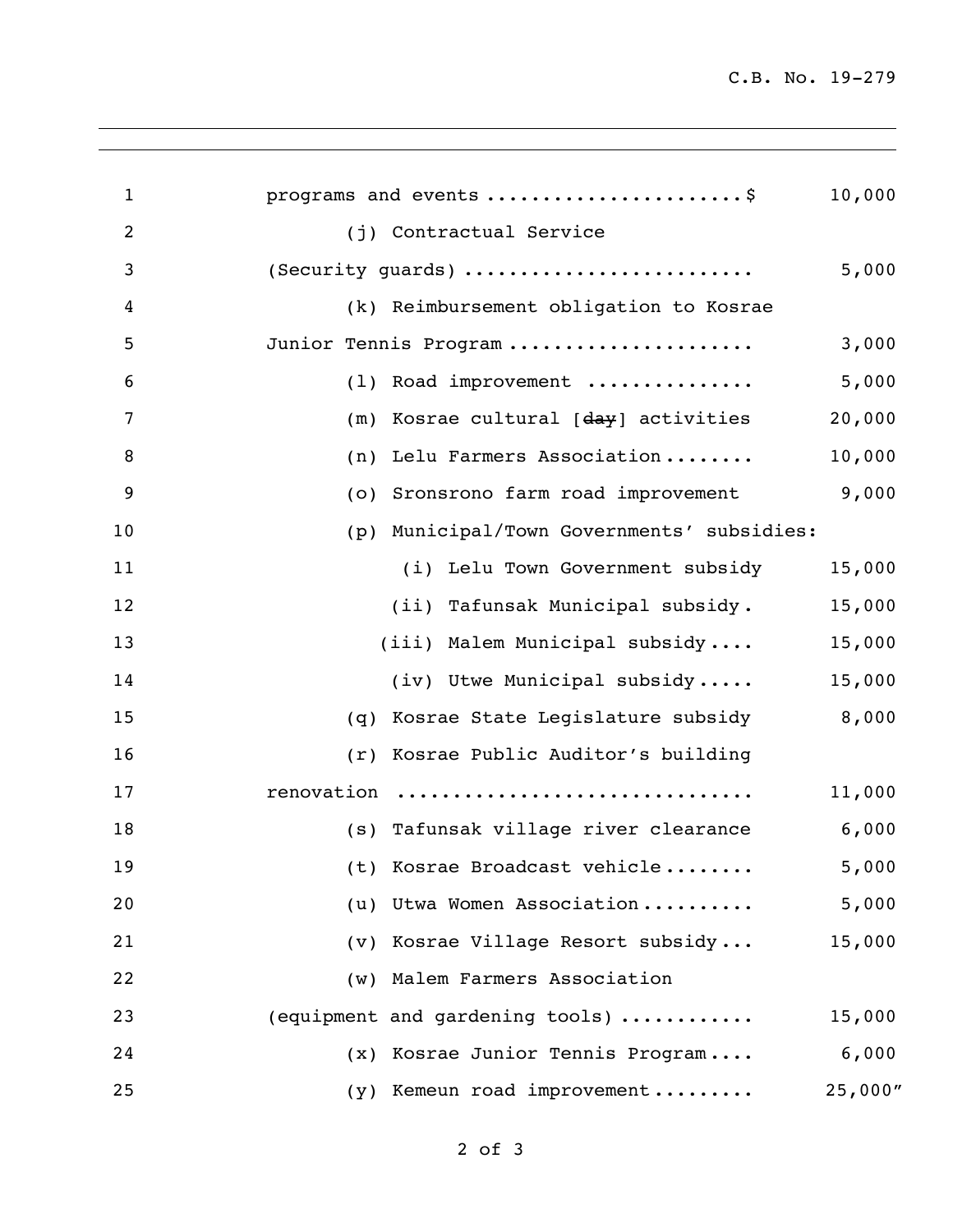C.B. No. 19-279

| $\mathbf{1}$   | programs and events \$                            | 10,000  |
|----------------|---------------------------------------------------|---------|
| $\overline{2}$ | (j) Contractual Service                           |         |
| 3              | (Security guards)                                 | 5,000   |
| 4              | (k) Reimbursement obligation to Kosrae            |         |
| 5              | Junior Tennis Program                             | 3,000   |
| 6              | (1) Road improvement                              | 5,000   |
| 7              | (m) Kosrae cultural [ <del>day</del> ] activities | 20,000  |
| 8              | Lelu Farmers Association<br>(n)                   | 10,000  |
| 9              | (o) Sronsrono farm road improvement               | 9,000   |
| 10             | (p) Municipal/Town Governments' subsidies:        |         |
| 11             | (i) Lelu Town Government subsidy                  | 15,000  |
| 12             | (ii) Tafunsak Municipal subsidy.                  | 15,000  |
| 13             | (iii) Malem Municipal subsidy                     | 15,000  |
| 14             | (iv) Utwe Municipal subsidy                       | 15,000  |
| 15             | Kosrae State Legislature subsidy<br>(q)           | 8,000   |
| 16             | (r) Kosrae Public Auditor's building              |         |
| 17             | renovation                                        | 11,000  |
| 18             | (s) Tafunsak village river clearance              | 6,000   |
| 19             | (t) Kosrae Broadcast vehicle                      | 5,000   |
| 20             | (u) Utwa Women Association                        | 5,000   |
| 21             | (v) Kosrae Village Resort subsidy                 | 15,000  |
| 22             | (w) Malem Farmers Association                     |         |
| 23             | (equipment and gardening tools)                   | 15,000  |
| 24             | (x) Kosrae Junior Tennis Program                  | 6,000   |
| 25             | Kemeun road improvement<br>(Y)                    | 25,000" |
|                |                                                   |         |